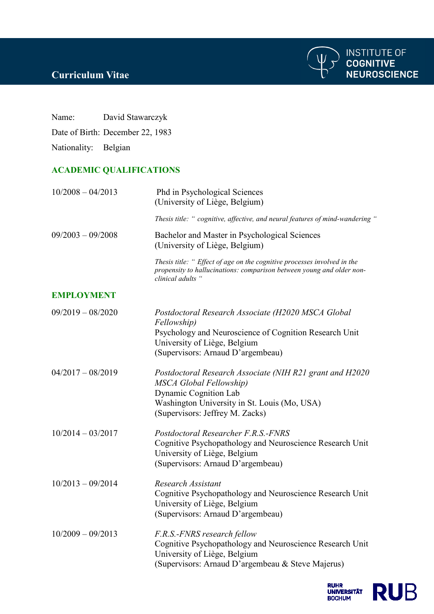

## **Curriculum Vitae**

Name: David Stawarczyk

Date of Birth: December 22, 1983

Nationality: Belgian

## **ACADEMIC QUALIFICATIONS**

| $10/2008 - 04/2013$ | Phd in Psychological Sciences<br>(University of Liège, Belgium)                                                                                                                                        |
|---------------------|--------------------------------------------------------------------------------------------------------------------------------------------------------------------------------------------------------|
|                     | Thesis title: " cognitive, affective, and neural features of mind-wandering "                                                                                                                          |
| $09/2003 - 09/2008$ | Bachelor and Master in Psychological Sciences<br>(University of Liège, Belgium)                                                                                                                        |
|                     | Thesis title: " Effect of age on the cognitive processes involved in the<br>propensity to hallucinations: comparison between young and older non-<br>clinical adults "                                 |
| <b>EMPLOYMENT</b>   |                                                                                                                                                                                                        |
| $09/2019 - 08/2020$ | Postdoctoral Research Associate (H2020 MSCA Global<br>Fellowship)<br>Psychology and Neuroscience of Cognition Research Unit<br>University of Liège, Belgium<br>(Supervisors: Arnaud D'argembeau)       |
| $04/2017 - 08/2019$ | Postdoctoral Research Associate (NIH R21 grant and H2020<br>MSCA Global Fellowship)<br><b>Dynamic Cognition Lab</b><br>Washington University in St. Louis (Mo, USA)<br>(Supervisors: Jeffrey M. Zacks) |
| $10/2014 - 03/2017$ | Postdoctoral Researcher F.R.S.-FNRS<br>Cognitive Psychopathology and Neuroscience Research Unit<br>University of Liège, Belgium<br>(Supervisors: Arnaud D'argembeau)                                   |
| $10/2013 - 09/2014$ | <b>Research Assistant</b><br>Cognitive Psychopathology and Neuroscience Research Unit<br>University of Liège, Belgium<br>(Supervisors: Arnaud D'argembeau)                                             |
| $10/2009 - 09/2013$ | F.R.S.-FNRS research fellow<br>Cognitive Psychopathology and Neuroscience Research Unit<br>University of Liège, Belgium<br>(Supervisors: Arnaud D'argembeau & Steve Majerus)                           |
|                     |                                                                                                                                                                                                        |